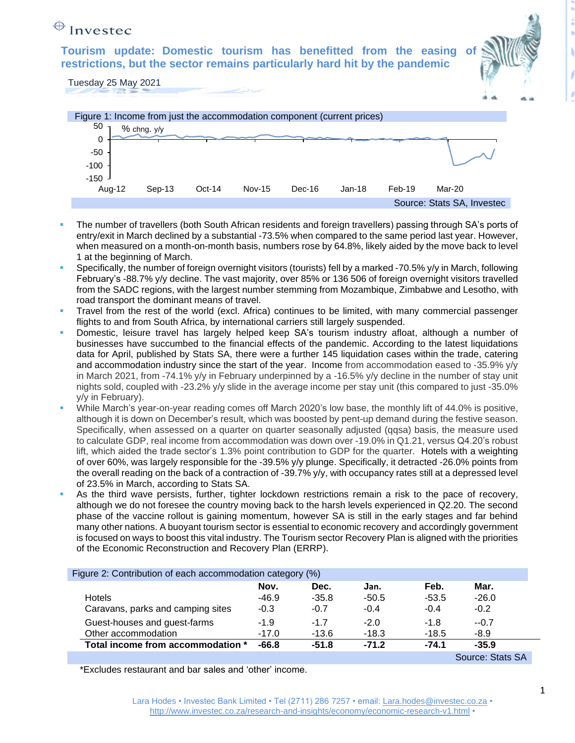## $\bigoplus$  Investec

**Tourism update: Domestic tourism has benefitted from the easing restrictions, but the sector remains particularly hard hit by the pandemic**



Tuesday 25 May 2021



- The number of travellers (both South African residents and foreign travellers) passing through SA's ports of entry/exit in March declined by a substantial -73.5% when compared to the same period last year. However, when measured on a month-on-month basis, numbers rose by 64.8%, likely aided by the move back to level 1 at the beginning of March.
- Specifically, the number of foreign overnight visitors (tourists) fell by a marked -70.5% y/y in March, following February's -88.7% y/y decline. The vast majority, over 85% or 136 506 of foreign overnight visitors travelled from the SADC regions, with the largest number stemming from Mozambique, Zimbabwe and Lesotho, with road transport the dominant means of travel.
- Travel from the rest of the world (excl. Africa) continues to be limited, with many commercial passenger flights to and from South Africa, by international carriers still largely suspended.
- Domestic, leisure travel has largely helped keep SA's tourism industry afloat, although a number of businesses have succumbed to the financial effects of the pandemic. According to the latest liquidations data for April, published by Stats SA, there were a further 145 liquidation cases within the trade, catering and accommodation industry since the start of the year. Income from accommodation eased to -35.9% y/y in March 2021, from -74.1% y/y in February underpinned by a -16.5% y/y decline in the number of stay unit nights sold, coupled with -23.2% y/y slide in the average income per stay unit (this compared to just -35.0% y/y in February).
- While March's year-on-year reading comes off March 2020's low base, the monthly lift of 44.0% is positive, although it is down on December's result, which was boosted by pent-up demand during the festive season. Specifically, when assessed on a quarter on quarter seasonally adjusted (qqsa) basis, the measure used to calculate GDP, real income from accommodation was down over -19.0% in Q1.21, versus Q4.20's robust lift, which aided the trade sector's 1.3% point contribution to GDP for the quarter. Hotels with a weighting of over 60%, was largely responsible for the -39.5% y/y plunge. Specifically, it detracted -26.0% points from the overall reading on the back of a contraction of -39.7% y/y, with occupancy rates still at a depressed level of 23.5% in March, according to Stats SA.
- As the third wave persists, further, tighter lockdown restrictions remain a risk to the pace of recovery, although we do not foresee the country moving back to the harsh levels experienced in Q2.20. The second phase of the vaccine rollout is gaining momentum, however SA is still in the early stages and far behind many other nations. A buoyant tourism sector is essential to economic recovery and accordingly government is focused on ways to boost this vital industry. The Tourism sector Recovery Plan is aligned with the priorities of the Economic Reconstruction and Recovery Plan (ERRP).

| Figure 2: Contribution of each accommodation category (%) |         |         |         |         |                  |  |
|-----------------------------------------------------------|---------|---------|---------|---------|------------------|--|
|                                                           | Nov.    | Dec.    | Jan.    | Feb.    | Mar.             |  |
| <b>Hotels</b>                                             | $-46.9$ | $-35.8$ | $-50.5$ | $-53.5$ | $-26.0$          |  |
| Caravans, parks and camping sites                         | $-0.3$  | $-0.7$  | $-0.4$  | $-0.4$  | $-0.2$           |  |
| Guest-houses and guest-farms                              | $-1.9$  | $-1.7$  | $-2.0$  | $-1.8$  | $-0.7$           |  |
| Other accommodation                                       | $-17.0$ | $-13.6$ | $-18.3$ | $-18.5$ | $-8.9$           |  |
| Total income from accommodation *                         | $-66.8$ | $-51.8$ | $-71.2$ | $-74.1$ | $-35.9$          |  |
|                                                           |         |         |         |         | Source: Stats SA |  |

\*Excludes restaurant and bar sales and 'other' income.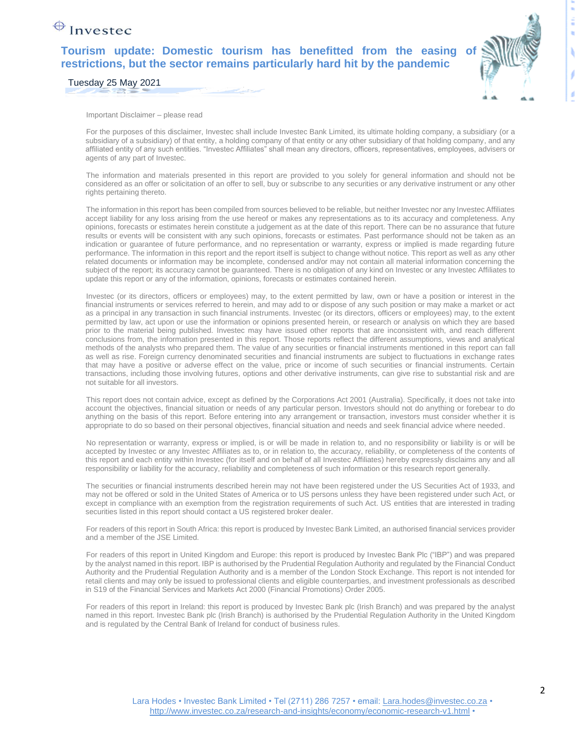## $\bigoplus$  Investec

**Tourism update: Domestic tourism has benefitted from the easing of restrictions, but the sector remains particularly hard hit by the pandemic**



Tuesday 25 May 2021

Important Disclaimer – please read

For the purposes of this disclaimer, Investec shall include Investec Bank Limited, its ultimate holding company, a subsidiary (or a subsidiary of a subsidiary) of that entity, a holding company of that entity or any other subsidiary of that holding company, and any affiliated entity of any such entities. "Investec Affiliates" shall mean any directors, officers, representatives, employees, advisers or agents of any part of Investec.

The information and materials presented in this report are provided to you solely for general information and should not be considered as an offer or solicitation of an offer to sell, buy or subscribe to any securities or any derivative instrument or any other rights pertaining thereto.

The information in this report has been compiled from sources believed to be reliable, but neither Investec nor any Investec Affiliates accept liability for any loss arising from the use hereof or makes any representations as to its accuracy and completeness. Any opinions, forecasts or estimates herein constitute a judgement as at the date of this report. There can be no assurance that future results or events will be consistent with any such opinions, forecasts or estimates. Past performance should not be taken as an indication or guarantee of future performance, and no representation or warranty, express or implied is made regarding future performance. The information in this report and the report itself is subject to change without notice. This report as well as any other related documents or information may be incomplete, condensed and/or may not contain all material information concerning the subject of the report; its accuracy cannot be guaranteed. There is no obligation of any kind on Investec or any Investec Affiliates to update this report or any of the information, opinions, forecasts or estimates contained herein.

Investec (or its directors, officers or employees) may, to the extent permitted by law, own or have a position or interest in the financial instruments or services referred to herein, and may add to or dispose of any such position or may make a market or act as a principal in any transaction in such financial instruments. Investec (or its directors, officers or employees) may, to the extent permitted by law, act upon or use the information or opinions presented herein, or research or analysis on which they are based prior to the material being published. Investec may have issued other reports that are inconsistent with, and reach different conclusions from, the information presented in this report. Those reports reflect the different assumptions, views and analytical methods of the analysts who prepared them. The value of any securities or financial instruments mentioned in this report can fall as well as rise. Foreign currency denominated securities and financial instruments are subject to fluctuations in exchange rates that may have a positive or adverse effect on the value, price or income of such securities or financial instruments. Certain transactions, including those involving futures, options and other derivative instruments, can give rise to substantial risk and are not suitable for all investors.

This report does not contain advice, except as defined by the Corporations Act 2001 (Australia). Specifically, it does not take into account the objectives, financial situation or needs of any particular person. Investors should not do anything or forebear to do anything on the basis of this report. Before entering into any arrangement or transaction, investors must consider whether it is appropriate to do so based on their personal objectives, financial situation and needs and seek financial advice where needed.

No representation or warranty, express or implied, is or will be made in relation to, and no responsibility or liability is or will be accepted by Investec or any Investec Affiliates as to, or in relation to, the accuracy, reliability, or completeness of the contents of this report and each entity within Investec (for itself and on behalf of all Investec Affiliates) hereby expressly disclaims any and all responsibility or liability for the accuracy, reliability and completeness of such information or this research report generally.

The securities or financial instruments described herein may not have been registered under the US Securities Act of 1933, and may not be offered or sold in the United States of America or to US persons unless they have been registered under such Act, or except in compliance with an exemption from the registration requirements of such Act. US entities that are interested in trading securities listed in this report should contact a US registered broker dealer.

For readers of this report in South Africa: this report is produced by Investec Bank Limited, an authorised financial services provider and a member of the JSE Limited.

For readers of this report in United Kingdom and Europe: this report is produced by Investec Bank Plc ("IBP") and was prepared by the analyst named in this report. IBP is authorised by the Prudential Regulation Authority and regulated by the Financial Conduct Authority and the Prudential Regulation Authority and is a member of the London Stock Exchange. This report is not intended for retail clients and may only be issued to professional clients and eligible counterparties, and investment professionals as described in S19 of the Financial Services and Markets Act 2000 (Financial Promotions) Order 2005.

For readers of this report in Ireland: this report is produced by Investec Bank plc (Irish Branch) and was prepared by the analyst named in this report. Investec Bank plc (Irish Branch) is authorised by the Prudential Regulation Authority in the United Kingdom and is regulated by the Central Bank of Ireland for conduct of business rules.